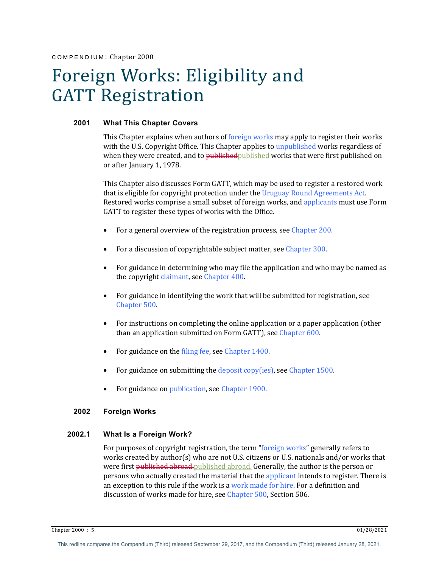# Foreign Works: Eligibility and GATT Registration

## **2001 What This Chapter Covers**

This Chapter explains when authors of foreign works may apply to register their works with the U.S. Copyright Office. This Chapter applies to unpublished works regardless of when they were created, and to published published works that were first published on or after January 1, 1978.

This Chapter also discusses Form GATT, which may be used to register a restored work that is eligible for copyright protection under the Uruguay Round Agreements Act. Restored works comprise a small subset of foreign works, and applicants must use Form GATT to register these types of works with the Office.

- For a general overview of the registration process, see Chapter 200.
- For a discussion of copyrightable subject matter, see Chapter 300.
- For guidance in determining who may file the application and who may be named as the copyright claimant, see Chapter 400.
- For guidance in identifying the work that will be submitted for registration, see Chapter 500.
- For instructions on completing the online application or a paper application (other than an application submitted on Form GATT), see Chapter 600.
- For guidance on the filing fee, see Chapter 1400.
- For guidance on submitting the deposit copy(ies), see Chapter 1500.
- For guidance on publication, see Chapter 1900.

## **2002 Foreign Works**

# **2002.1 What Is a Foreign Work?**

For purposes of copyright registration, the term "foreign works" generally refers to works created by author(s) who are not U.S. citizens or U.S. nationals and/or works that were first published abroad. published abroad. Generally, the author is the person or persons who actually created the material that the applicant intends to register. There is an exception to this rule if the work is a work made for hire. For a definition and discussion of works made for hire, see Chapter 500, Section 506.

Chapter 2000 : 5 01/28/2021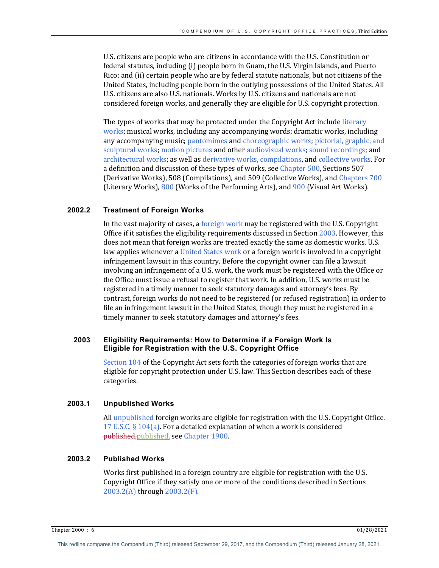U.S. citizens are people who are citizens in accordance with the U.S. Constitution or federal statutes, including (i) people born in Guam, the U.S. Virgin Islands, and Puerto Rico; and (ii) certain people who are by federal statute nationals, but not citizens of the United States, including people born in the outlying possessions of the United States. All U.S. citizens are also U.S. nationals. Works by U.S. citizens and nationals are not considered foreign works, and generally they are eligible for U.S. copyright protection.

The types of works that may be protected under the Copyright Act include literary works; musical works, including any accompanying words; dramatic works, including any accompanying music; pantomimes and choreographic works; pictorial, graphic, and sculptural works; motion pictures and other audiovisual works; sound recordings; and architectural works; as well as derivative works, compilations, and collective works. For a definition and discussion of these types of works, see Chapter 500, Sections 507 (Derivative Works), 508 (Compilations), and 509 (Collective Works), and Chapters 700 (Literary Works),  $800$  (Works of the Performing Arts), and  $900$  (Visual Art Works).

## **2002.2 Treatment of Foreign Works**

In the vast majority of cases, a foreign work may be registered with the U.S. Copyright Office if it satisfies the eligibility requirements discussed in Section  $2003$ . However, this does not mean that foreign works are treated exactly the same as domestic works. U.S. law applies whenever a United States work or a foreign work is involved in a copyright infringement lawsuit in this country. Before the copyright owner can file a lawsuit involving an infringement of a U.S. work, the work must be registered with the Office or the Office must issue a refusal to register that work. In addition, U.S. works must be registered in a timely manner to seek statutory damages and attorney's fees. By contrast, foreign works do not need to be registered (or refused registration) in order to file an infringement lawsuit in the United States, though they must be registered in a timely manner to seek statutory damages and attorney's fees.

# **2003 Eligibility Requirements: How to Determine if a Foreign Work Is Eligible for Registration with the U.S. Copyright Office**

Section 104 of the Copyright Act sets forth the categories of foreign works that are eligible for copyright protection under U.S. law. This Section describes each of these categories.

#### **2003.1 Unpublished Works**

All unpublished foreign works are eligible for registration with the U.S. Copyright Office. 17 U.S.C.  $\S$  104(a). For a detailed explanation of when a work is considered published, published, see Chapter 1900.

# **2003.2 Published Works**

Works first published in a foreign country are eligible for registration with the U.S. Copyright Office if they satisfy one or more of the conditions described in Sections 2003.2(A) through 2003.2(F).

Chapter 2000 : 6 01/28/2021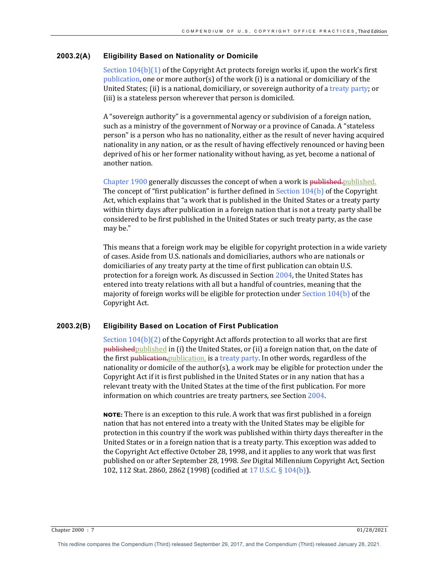## **2003.2(A) Eligibility Based on Nationality or Domicile**

Section  $104(b)(1)$  of the Copyright Act protects foreign works if, upon the work's first publication, one or more author(s) of the work (i) is a national or domiciliary of the United States; (ii) is a national, domiciliary, or sovereign authority of a treaty party; or (iii) is a stateless person wherever that person is domiciled.

A "sovereign authority" is a governmental agency or subdivision of a foreign nation, such as a ministry of the government of Norway or a province of Canada. A "stateless person" is a person who has no nationality, either as the result of never having acquired nationality in any nation, or as the result of having effectively renounced or having been deprived of his or her former nationality without having, as yet, become a national of another nation.

Chapter 1900 generally discusses the concept of when a work is published. published. The concept of "first publication" is further defined in Section  $104(b)$  of the Copyright Act, which explains that "a work that is published in the United States or a treaty party within thirty days after publication in a foreign nation that is not a treaty party shall be considered to be first published in the United States or such treaty party, as the case may be."

This means that a foreign work may be eligible for copyright protection in a wide variety of cases. Aside from U.S. nationals and domiciliaries, authors who are nationals or domiciliaries of any treaty party at the time of first publication can obtain U.S. protection for a foreign work. As discussed in Section  $2004$ , the United States has entered into treaty relations with all but a handful of countries, meaning that the majority of foreign works will be eligible for protection under Section  $104(b)$  of the Copyright Act.

#### **2003.2(B) Eligibility Based on Location of First Publication**

Section  $104(b)(2)$  of the Copyright Act affords protection to all works that are first  $p$ ublished published in (i) the United States, or (ii) a foreign nation that, on the date of the first publication, publication, is a treaty party. In other words, regardless of the nationality or domicile of the author(s), a work may be eligible for protection under the Copyright Act if it is first published in the United States or in any nation that has a relevant treaty with the United States at the time of the first publication. For more information on which countries are treaty partners, see Section 2004.

**NOTE:** There is an exception to this rule. A work that was first published in a foreign nation that has not entered into a treaty with the United States may be eligible for protection in this country if the work was published within thirty days thereafter in the United States or in a foreign nation that is a treaty party. This exception was added to the Copyright Act effective October 28, 1998, and it applies to any work that was first published on or after September 28, 1998. See Digital Millennium Copyright Act, Section 102, 112 Stat. 2860, 2862 (1998) (codified at 17 U.S.C. § 104(b)).

Chapter 2000 : 7 01/28/2021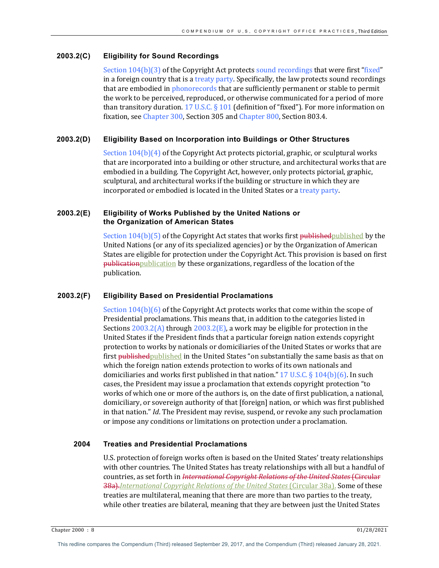## **2003.2(C) Eligibility for Sound Recordings**

Section  $104(b)(3)$  of the Copyright Act protects sound recordings that were first "fixed" in a foreign country that is a treaty party. Specifically, the law protects sound recordings that are embodied in phonorecords that are sufficiently permanent or stable to permit the work to be perceived, reproduced, or otherwise communicated for a period of more than transitory duration. 17 U.S.C. § 101 (definition of "fixed"). For more information on fixation, see Chapter 300, Section 305 and Chapter 800, Section 803.4.

## **2003.2(D) Eligibility Based on Incorporation into Buildings or Other Structures**

Section  $104(b)(4)$  of the Copyright Act protects pictorial, graphic, or sculptural works that are incorporated into a building or other structure, and architectural works that are embodied in a building. The Copyright Act, however, only protects pictorial, graphic, sculptural, and architectural works if the building or structure in which they are incorporated or embodied is located in the United States or a treaty party.

## **2003.2(E) Eligibility of Works Published by the United Nations or the Organization of American States**

Section  $104(b)(5)$  of the Copyright Act states that works first published published by the United Nations (or any of its specialized agencies) or by the Organization of American States are eligible for protection under the Copyright Act. This provision is based on first publication publication by these organizations, regardless of the location of the publication.

## **2003.2(F) Eligibility Based on Presidential Proclamations**

Section  $104(b)(6)$  of the Copyright Act protects works that come within the scope of Presidential proclamations. This means that, in addition to the categories listed in Sections  $2003.2(A)$  through  $2003.2(E)$ , a work may be eligible for protection in the United States if the President finds that a particular foreign nation extends copyright protection to works by nationals or domiciliaries of the United States or works that are first publishedpublished in the United States "on substantially the same basis as that on which the foreign nation extends protection to works of its own nationals and domiciliaries and works first published in that nation." 17 U.S.C. § 104(b)(6). In such cases, the President may issue a proclamation that extends copyright protection "to" works of which one or more of the authors is, on the date of first publication, a national, domiciliary, or sovereign authority of that [foreign] nation, or which was first published in that nation." *Id*. The President may revise, suspend, or revoke any such proclamation or impose any conditions or limitations on protection under a proclamation.

# **2004 Treaties and Presidential Proclamations**

U.S. protection of foreign works often is based on the United States' treaty relationships with other countries. The United States has treaty relationships with all but a handful of countries, as set forth in *International Copyright Relations of the United States* (Circular **38a).***International Copyright Relations of the United States* (Circular 38a). Some of these treaties are multilateral, meaning that there are more than two parties to the treaty, while other treaties are bilateral, meaning that they are between just the United States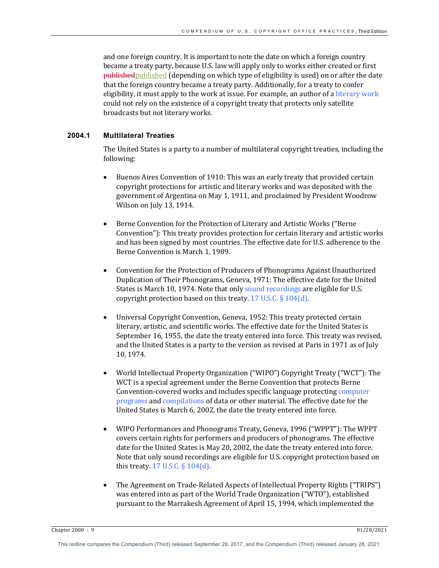and one foreign country. It is important to note the date on which a foreign country became a treaty party, because U.S. law will apply only to works either created or first published published (depending on which type of eligibility is used) on or after the date that the foreign country became a treaty party. Additionally, for a treaty to confer eligibility, it must apply to the work at issue. For example, an author of a literary work could not rely on the existence of a copyright treaty that protects only satellite broadcasts but not literary works.

# **2004.1 Multilateral Treaties**

The United States is a party to a number of multilateral copyright treaties, including the following:

- Buenos Aires Convention of 1910: This was an early treaty that provided certain copyright protections for artistic and literary works and was deposited with the government of Argentina on May 1, 1911, and proclaimed by President Woodrow Wilson on July 13, 1914.
- Berne Convention for the Protection of Literary and Artistic Works ("Berne Convention"): This treaty provides protection for certain literary and artistic works and has been signed by most countries. The effective date for U.S. adherence to the Berne Convention is March 1, 1989.
- Convention for the Protection of Producers of Phonograms Against Unauthorized Duplication of Their Phonograms, Geneva, 1971: The effective date for the United States is March 10, 1974. Note that only sound recordings are eligible for U.S. copyright protection based on this treaty. 17 U.S.C.  $\S 104(d)$ .
- Universal Copyright Convention, Geneva, 1952: This treaty protected certain literary, artistic, and scientific works. The effective date for the United States is September 16, 1955, the date the treaty entered into force. This treaty was revised, and the United States is a party to the version as revised at Paris in 1971 as of July 10, 1974.
- World Intellectual Property Organization ("WIPO") Copyright Treaty ("WCT"): The WCT is a special agreement under the Berne Convention that protects Berne Convention-covered works and includes specific language protecting computer programs and compilations of data or other material. The effective date for the United States is March 6, 2002, the date the treaty entered into force.
- WIPO Performances and Phonograms Treaty, Geneva, 1996 ("WPPT"): The WPPT covers certain rights for performers and producers of phonograms. The effective date for the United States is May 20, 2002, the date the treaty entered into force. Note that only sound recordings are eligible for U.S. copyright protection based on this treaty.  $17$  U.S.C.  $\S 104(d)$ .
- The Agreement on Trade-Related Aspects of Intellectual Property Rights ("TRIPS") was entered into as part of the World Trade Organization ("WTO"), established pursuant to the Marrakesh Agreement of April 15, 1994, which implemented the

Chapter 2000 : 9 01/28/2021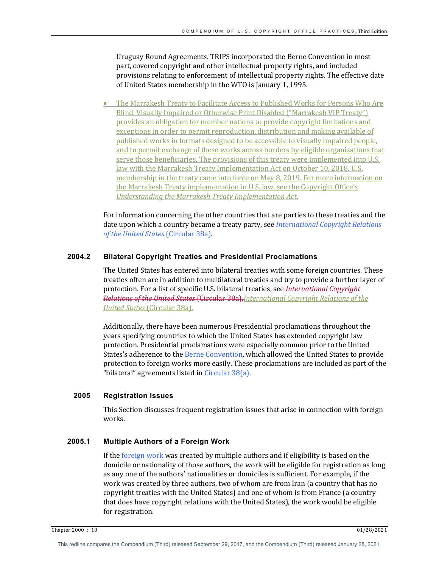Uruguay Round Agreements. TRIPS incorporated the Berne Convention in most part, covered copyright and other intellectual property rights, and included provisions relating to enforcement of intellectual property rights. The effective date of United States membership in the WTO is January 1, 1995.

• The Marrakesh Treaty to Facilitate Access to Published Works for Persons Who Are Blind, Visually Impaired or Otherwise Print Disabled ("Marrakesh VIP Treaty") provides an obligation for member nations to provide copyright limitations and exceptions in order to permit reproduction, distribution and making available of published works in formats designed to be accessible to visually impaired people, and to permit exchange of these works across borders by eligible organizations that serve those beneficiaries. The provisions of this treaty were implemented into U.S. law with the Marrakesh Treaty Implementation Act on October 10, 2018. U.S. membership in the treaty came into force on May 8, 2019. For more information on the Marrakesh Treaty implementation in U.S. law, see the Copyright Office's *Understanding the Marrakesh Treaty Implementation Act.* 

For information concerning the other countries that are parties to these treaties and the date upon which a country became a treaty party, see *International Copyright Relations of the United States* (Circular 38a).

# **2004.2 Bilateral Copyright Treaties and Presidential Proclamations**

The United States has entered into bilateral treaties with some foreign countries. These treaties often are in addition to multilateral treaties and try to provide a further layer of protection. For a list of specific U.S. bilateral treaties, see *International Copyright Relations of the United States* (Circular 38a).*International Copyright Relations of the* **United States** (Circular 38a).

Additionally, there have been numerous Presidential proclamations throughout the years specifying countries to which the United States has extended copyright law protection. Presidential proclamations were especially common prior to the United States's adherence to the Berne Convention, which allowed the United States to provide protection to foreign works more easily. These proclamations are included as part of the "bilateral" agreements listed in Circular 38(a).

# **2005 Registration Issues**

This Section discusses frequent registration issues that arise in connection with foreign works. 

# **2005.1 Multiple Authors of a Foreign Work**

If the foreign work was created by multiple authors and if eligibility is based on the domicile or nationality of those authors, the work will be eligible for registration as long as any one of the authors' nationalities or domiciles is sufficient. For example, if the work was created by three authors, two of whom are from Iran (a country that has no copyright treaties with the United States) and one of whom is from France (a country that does have copyright relations with the United States), the work would be eligible for registration.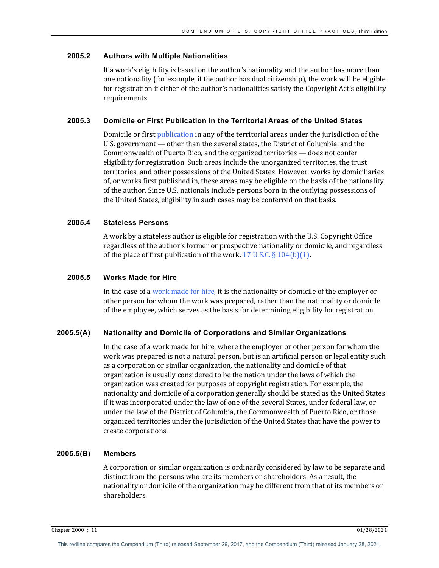## **2005.2 Authors with Multiple Nationalities**

If a work's eligibility is based on the author's nationality and the author has more than one nationality (for example, if the author has dual citizenship), the work will be eligible for registration if either of the author's nationalities satisfy the Copyright Act's eligibility requirements.

## **2005.3 Domicile or First Publication in the Territorial Areas of the United States**

Domicile or first publication in any of the territorial areas under the jurisdiction of the U.S. government — other than the several states, the District of Columbia, and the Commonwealth of Puerto Rico, and the organized territories  $-$  does not confer eligibility for registration. Such areas include the unorganized territories, the trust territories, and other possessions of the United States. However, works by domiciliaries of, or works first published in, these areas may be eligible on the basis of the nationality of the author. Since U.S. nationals include persons born in the outlying possessions of the United States, eligibility in such cases may be conferred on that basis.

# **2005.4 Stateless Persons**

A work by a stateless author is eligible for registration with the U.S. Copyright Office regardless of the author's former or prospective nationality or domicile, and regardless of the place of first publication of the work. 17 U.S.C.  $\S 104(b)(1)$ .

## **2005.5 Works Made for Hire**

In the case of a work made for hire, it is the nationality or domicile of the employer or other person for whom the work was prepared, rather than the nationality or domicile of the employee, which serves as the basis for determining eligibility for registration.

#### **2005.5(A) Nationality and Domicile of Corporations and Similar Organizations**

In the case of a work made for hire, where the employer or other person for whom the work was prepared is not a natural person, but is an artificial person or legal entity such as a corporation or similar organization, the nationality and domicile of that organization is usually considered to be the nation under the laws of which the organization was created for purposes of copyright registration. For example, the nationality and domicile of a corporation generally should be stated as the United States if it was incorporated under the law of one of the several States, under federal law, or under the law of the District of Columbia, the Commonwealth of Puerto Rico, or those organized territories under the jurisdiction of the United States that have the power to create corporations.

## **2005.5(B) Members**

A corporation or similar organization is ordinarily considered by law to be separate and distinct from the persons who are its members or shareholders. As a result, the nationality or domicile of the organization may be different from that of its members or shareholders.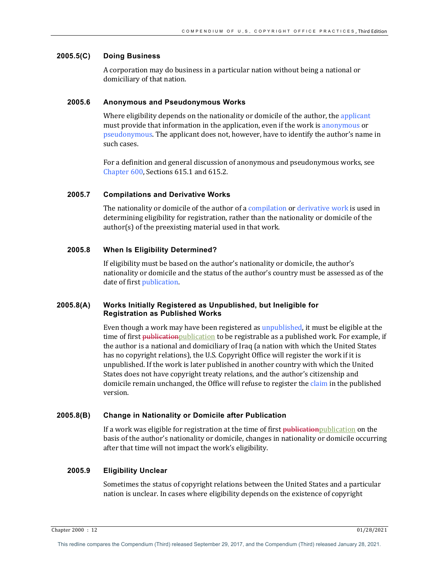## **2005.5(C) Doing Business**

A corporation may do business in a particular nation without being a national or domiciliary of that nation.

# **2005.6 Anonymous and Pseudonymous Works**

Where eligibility depends on the nationality or domicile of the author, the applicant must provide that information in the application, even if the work is anonymous or pseudonymous. The applicant does not, however, have to identify the author's name in such cases.

For a definition and general discussion of anonymous and pseudonymous works, see Chapter  $600$ , Sections  $615.1$  and  $615.2$ .

## **2005.7 Compilations and Derivative Works**

The nationality or domicile of the author of a compilation or derivative work is used in determining eligibility for registration, rather than the nationality or domicile of the  $\alpha$ uthor(s) of the preexisting material used in that work.

## **2005.8 When Is Eligibility Determined?**

If eligibility must be based on the author's nationality or domicile, the author's nationality or domicile and the status of the author's country must be assessed as of the date of first *publication*.

# **2005.8(A) Works Initially Registered as Unpublished, but Ineligible for Registration as Published Works**

Even though a work may have been registered as unpublished, it must be eligible at the time of first <del>publication</del>publication to be registrable as a published work. For example, if the author is a national and domiciliary of Iraq (a nation with which the United States has no copyright relations), the U.S. Copyright Office will register the work if it is unpublished. If the work is later published in another country with which the United States does not have copyright treaty relations, and the author's citizenship and domicile remain unchanged, the Office will refuse to register the claim in the published version.

#### **2005.8(B) Change in Nationality or Domicile after Publication**

If a work was eligible for registration at the time of first publication publication on the basis of the author's nationality or domicile, changes in nationality or domicile occurring after that time will not impact the work's eligibility.

## **2005.9 Eligibility Unclear**

Sometimes the status of copyright relations between the United States and a particular nation is unclear. In cases where eligibility depends on the existence of copyright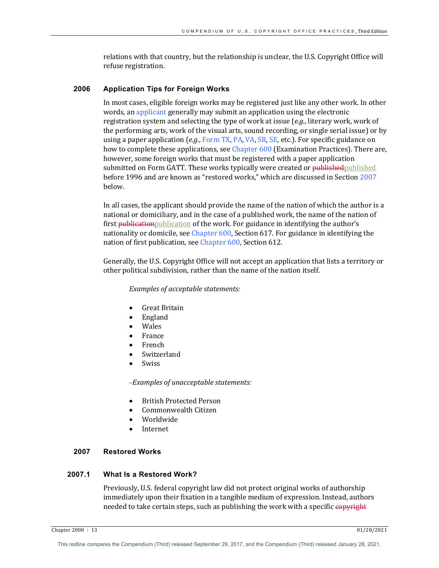relations with that country, but the relationship is unclear, the U.S. Copyright Office will refuse registration.

# **2006 Application Tips for Foreign Works**

In most cases, eligible foreign works may be registered just like any other work. In other words, an applicant generally may submit an application using the electronic registration system and selecting the type of work at issue (*e.g.*, literary work, work of the performing arts, work of the visual arts, sound recording, or single serial issue) or by using a paper application (*e.g.*, Form TX, PA, VA, SR, SE, etc.). For specific guidance on how to complete these applications, see Chapter 600 (Examination Practices). There are, however, some foreign works that must be registered with a paper application submitted on Form GATT. These works typically were created or publishedpublished before 1996 and are known as "restored works," which are discussed in Section 2007 below. 

In all cases, the applicant should provide the name of the nation of which the author is a national or domiciliary, and in the case of a published work, the name of the nation of first **publication** publication of the work. For guidance in identifying the author's nationality or domicile, see Chapter  $600$ , Section  $617$ . For guidance in identifying the nation of first publication, see Chapter 600, Section 612.

Generally, the U.S. Copyright Office will not accept an application that lists a territory or other political subdivision, rather than the name of the nation itself.

*Examples of acceptable statements:* 

- Great Britain
- England
- Wales
- France
- French
- **Switzerland**
- **Swiss**

 *Examples of unacceptable statements:*

- British Protected Person
- Commonwealth Citizen
- Worldwide
- **Internet**

## **2007 Restored Works**

## **2007.1 What Is a Restored Work?**

Previously, U.S. federal copyright law did not protect original works of authorship immediately upon their fixation in a tangible medium of expression. Instead, authors needed to take certain steps, such as publishing the work with a specific copyright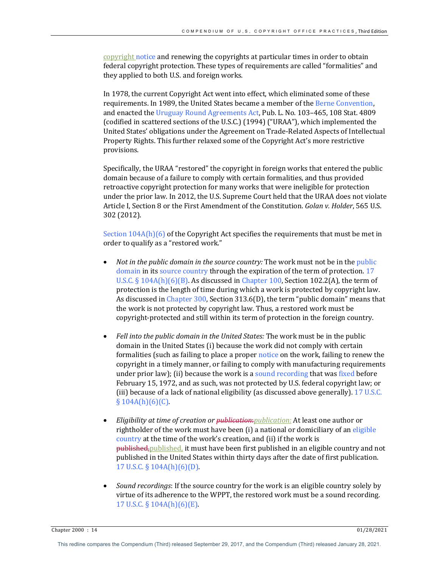copyright notice and renewing the copyrights at particular times in order to obtain federal copyright protection. These types of requirements are called "formalities" and they applied to both U.S. and foreign works.

In 1978, the current Copyright Act went into effect, which eliminated some of these requirements. In 1989, the United States became a member of the Berne Convention, and enacted the Uruguay Round Agreements Act, Pub. L. No. 103-465, 108 Stat. 4809 (codified in scattered sections of the U.S.C.) (1994) ("URAA"), which implemented the United States' obligations under the Agreement on Trade-Related Aspects of Intellectual Property Rights. This further relaxed some of the Copyright Act's more restrictive provisions. 

Specifically, the URAA "restored" the copyright in foreign works that entered the public domain because of a failure to comply with certain formalities, and thus provided retroactive copyright protection for many works that were ineligible for protection under the prior law. In 2012, the U.S. Supreme Court held that the URAA does not violate Article I, Section 8 or the First Amendment of the Constitution. *Golan v. Holder*, 565 U.S. 302 (2012).

Section  $104A(h)(6)$  of the Copyright Act specifies the requirements that must be met in order to qualify as a "restored work."

- *Not in the public domain in the source country:* The work must not be in the *public* domain in its source country through the expiration of the term of protection. 17 U.S.C.  $\S 104A(h)(6)(B)$ . As discussed in Chapter 100, Section 102.2(A), the term of protection is the length of time during which a work is protected by copyright law. As discussed in Chapter 300, Section  $313.6(D)$ , the term "public domain" means that the work is not protected by copyright law. Thus, a restored work must be copyright-protected and still within its term of protection in the foreign country.
- Fell into the public domain in the United States: The work must be in the public domain in the United States (i) because the work did not comply with certain formalities (such as failing to place a proper notice on the work, failing to renew the copyright in a timely manner, or failing to comply with manufacturing requirements under prior law); (ii) because the work is a sound recording that was fixed before February 15, 1972, and as such, was not protected by U.S. federal copyright law; or (iii) because of a lack of national eligibility (as discussed above generally). 17 U.S.C.  $§ 104A(h)(6)(C).$
- *Eligibility at time of creation or publication: publication:* At least one author or rightholder of the work must have been (i) a national or domiciliary of an eligible country at the time of the work's creation, and (ii) if the work is published, published, it must have been first published in an eligible country and not published in the United States within thirty days after the date of first publication. 17 U.S.C.  $\S$  104A(h)(6)(D).
- *Sound recordings*: If the source country for the work is an eligible country solely by virtue of its adherence to the WPPT, the restored work must be a sound recording. 17 U.S.C.  $\S$  104A(h)(6)(E).

Chapter 2000 : 14 01/28/2021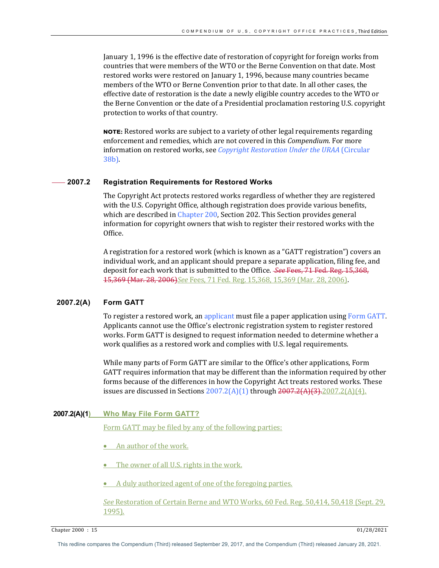January 1, 1996 is the effective date of restoration of copyright for foreign works from countries that were members of the WTO or the Berne Convention on that date. Most restored works were restored on January 1, 1996, because many countries became members of the WTO or Berne Convention prior to that date. In all other cases, the effective date of restoration is the date a newly eligible country accedes to the WTO or the Berne Convention or the date of a Presidential proclamation restoring U.S. copyright protection to works of that country.

**NOTE:** Restored works are subject to a variety of other legal requirements regarding enforcement and remedies, which are not covered in this *Compendium*. For more information on restored works, see *Copyright Restoration Under the URAA* (Circular 38b).

# **2007.2 Registration Requirements for Restored Works**

The Copyright Act protects restored works regardless of whether they are registered with the U.S. Copyright Office, although registration does provide various benefits, which are described in Chapter  $200$ , Section 202. This Section provides general information for copyright owners that wish to register their restored works with the Office.

A registration for a restored work (which is known as a "GATT registration") covers an individual work, and an applicant should prepare a separate application, filing fee, and deposit for each work that is submitted to the Office. *See Fees*, 71 Fed. Reg. 15,368, 15,369 (Mar. 28, 2006) See Fees, 71 Fed. Reg. 15,368, 15,369 (Mar. 28, 2006).

## **2007.2(A) Form GATT**

To register a restored work, an applicant must file a paper application using Form GATT. Applicants cannot use the Office's electronic registration system to register restored works. Form GATT is designed to request information needed to determine whether a work qualifies as a restored work and complies with U.S. legal requirements.

While many parts of Form GATT are similar to the Office's other applications, Form GATT requires information that may be different than the information required by other forms because of the differences in how the Copyright Act treats restored works. These issues are discussed in Sections  $2007.2(A)(1)$  through  $2007.2(A)(3)$ .  $2007.2(A)(4)$ .

# **2007.2(A)(1) Who May File Form GATT?**

Form GATT may be filed by any of the following parties:

- An author of the work.
- The owner of all U.S. rights in the work.
- A duly authorized agent of one of the foregoing parties.

See Restoration of Certain Berne and WTO Works, 60 Fed. Reg. 50,414, 50,418 (Sept. 29, 1995).

Chapter 2000 : 15 01/28/2021